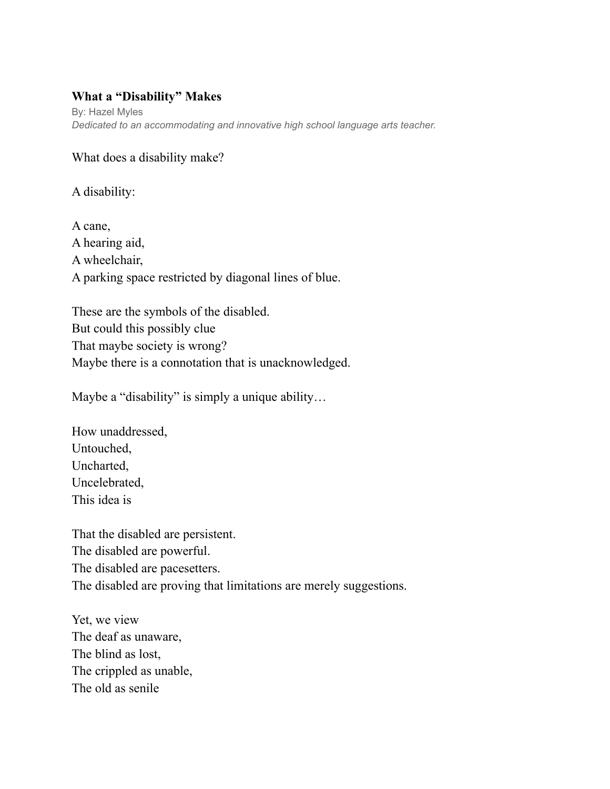## **What a "Disability" Makes**

By: Hazel Myles *Dedicated to an accommodating and innovative high school language arts teacher.*

## What does a disability make?

A disability:

A cane, A hearing aid, A wheelchair, A parking space restricted by diagonal lines of blue.

These are the symbols of the disabled. But could this possibly clue That maybe society is wrong? Maybe there is a connotation that is unacknowledged.

Maybe a "disability" is simply a unique ability…

How unaddressed, Untouched, Uncharted, Uncelebrated, This idea is

That the disabled are persistent. The disabled are powerful. The disabled are pacesetters. The disabled are proving that limitations are merely suggestions.

Yet, we view The deaf as unaware, The blind as lost, The crippled as unable, The old as senile